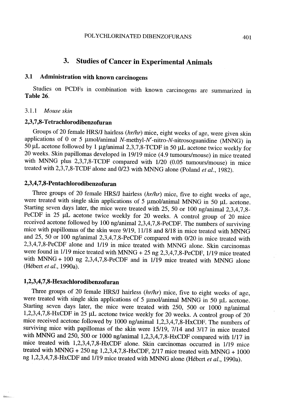# 3. Studies of Cancer in Experimental Animais

## 3.1 Administration with known carcinogens

Studies on PCDFs in combination with known carcinogens are summarized in Table 26.

#### 3.1.1 Mouse skin

## 2,3,7,8- Tetrachlorodibenzofuran

Groups of 20 female HRS/J hairless (hr/hr) mice, eight weeks of age, were given skin applications of 0 or 5  $\mu$ mol/animal N-methyl-N'-nitro-N-nitrosoguanidine (MNNG) in 50  $\mu$ L acetone followed by 1  $\mu$ g/animal 2,3,7,8-TCDF in 50  $\mu$ L acetone twice weekly for 20 weeks. Skin papillomas developed in 19/19 mice (4.9 tumours/mouse) in mice treated with MNNG plus 2,3,7,8-TCDF compared with 1/20 (0.05 tumours/mouse) in mice treated with  $2,3,7,8$ -TCDF alone and  $0/23$  with MNNG alone (Poland *et al.*, 1982).

## 2,3,4,7,8- Pentachlorodibenzofuran

Three groups of 20 female HRS/J hairless  $(hr/hr)$  mice, five to eight weeks of age, were treated with single skin applications of 5  $\mu$ mol/animal MNNG in 50  $\mu$ L acetone. Staring seven days later, the mice were treated with 25, 50 or 100 ng/animal 2,3,4,7,8- PeCDF in 25  $\mu$ L acetone twice weekly for 20 weeks. A control group of 20 mice received acetone followed by 100 ng/anmal 2,3,4,7,8-PeCDF. The numbers of surviving mice with papillomas of the skin were 9/19, 11/18 and 8/18 in mice treated with MNNG and 25, 50 or 100 ng/animal 2,3,4,7,8-PeCDF compared with 0/20 in mice treated with 2,3,4,7,8-PeCDF alone and 1/19 in mice treated with MNNG alone. Skin carcinomas were found in 1/19 mice treated with MNNG + 25 ng 2,3,4,7,8-PeCDF, 1/19 mice treated with MNG + 100 ng 2,3,4,7,8-PeCDF and in 1/19 mice treated with MNNG alone (Hébert et al., 1990a).

#### 1,2,3,4,7,8- Hexachlorodibenzofuran

Three groups of 20 female HRS/J hairless  $(hr/hr)$  mice, five to eight weeks of age, were treated with single skin applications of 5  $\mu$ mol/animal MNNG in 50  $\mu$ L acetone. Staring seven days later, the mice were treated with 250, 500 or 1000 ng/animal 1,2,3,4,7,8-HxCDF in 25  $\mu$ L acetone twice weekly for 20 weeks. A control group of 20 mice received acetone followed by 1000 ng/animal 1,2,3,4,7,8-HxCDF. The numbers of surviving mice with papilomas of the skin were 15/19, 7/14 and 3/17 in mice treated with MNNG and 250, 500 or 1000 ng/animal 1,2,3,4,7,8-HxCDF compared with 1/17 in mice treated with 1,2,3,4,7,8-HxCDF alone. Skin carcinomas occurred in 1/19 mice treated with MNNG + 250 ng 1,2,3,4,7,8-HxCDF,  $2/17$  mice treated with MNNG + 1000 ng 1,2,3,4,7,8-HxCDF and 1/19 mice treated with MNNG alone (Hébert et al., 1990a).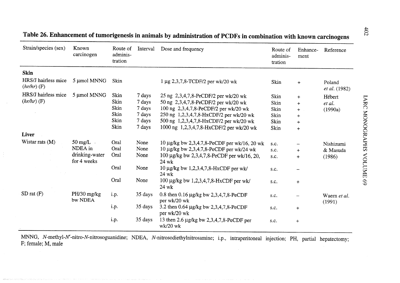| Strain/species (sex)                 | Known<br>carcinogen           | Route of<br>adminis-<br>tration | Interval | Dose and frequency                                     | Route of<br>adminis-<br>tration | Enhance-<br>ment | Reference               |
|--------------------------------------|-------------------------------|---------------------------------|----------|--------------------------------------------------------|---------------------------------|------------------|-------------------------|
| <b>Skin</b>                          |                               |                                 |          |                                                        |                                 |                  |                         |
| HRS/J hairless mice<br>$(hr/hr)$ (F) | 5 µmol MNNG                   | Skin                            |          | $1 \mu$ g 2,3,7,8-TCDF/2 per wk/20 wk                  | Skin                            | $\ddot{}$        | Poland<br>et al. (1982) |
| HRS/J hairless mice<br>$(hr/hr)$ (F) | 5 µmol MNNG                   | Skin                            | 7 days   | 25 ng 2,3,4,7,8-PeCDF/2 per wk/20 wk                   | Skin                            | $+$              | Hébert                  |
|                                      |                               | Skin                            | 7 days   | 50 ng 2,3,4,7,8-PeCDF/2 per wk/20 wk                   | Skin                            | $\ddot{}$        | et al.                  |
|                                      |                               | Skin                            | 7 days   | 100 ng 2,3,4,7,8-PeCDF/2 per wk/20 wk                  | Skin                            | $+$              | (1990a)                 |
|                                      |                               | Skin                            | 7 days   | 250 ng 1,2,3,4,7,8-HxCDF/2 per wk/20 wk                | Skin                            | $\div$           |                         |
|                                      |                               | Skin                            | 7 days   | 500 ng 1,2,3,4,7,8-HxCDF/2 per wk/20 wk                | Skin                            | $\div$           |                         |
|                                      |                               | Skin                            | 7 days   | 1000 ng 1,2,3,4,7,8-HxCDF/2 per wk/20 wk               | Skin                            | $+$              |                         |
| <b>Liver</b>                         |                               |                                 |          |                                                        |                                 |                  |                         |
| Wistar rats (M)                      | $50 \text{ mg/L}$ .           | Oral                            | None     | 10 $\mu$ g/kg bw 2,3,4,7,8-PeCDF per wk/16, 20 wk      | s.c.                            |                  | Nishizumi               |
|                                      | NDEA in                       | Oral                            | None     | 10 μg/kg bw 2,3,4,7,8-PeCDF per wk/24 wk               | s.c.                            | $+$              | & Masuda                |
|                                      | drinking-water<br>for 4 weeks | Oral                            | None     | 100 μg/kg bw 2,3,4,7,8-PeCDF per wk/16, 20,<br>24 wk   | s.c.                            | $+$              | (1986)                  |
|                                      |                               | Oral                            | None     | 10 $\mu$ g/kg bw 1,2,3,4,7,8-HxCDF per wk/<br>24 wk    | s.c.                            |                  |                         |
|                                      |                               | Oral                            | None     | 100 μg/kg bw 1,2,3,4,7,8-HxCDF per wk/<br>24 wk        | s.c.                            | $+$              |                         |
| $SD$ rat $(F)$                       | PH/30 mg/kg<br>bw NDEA        | i.p.                            | 35 days  | 0.8 then 0.16 µg/kg bw 2,3,4,7,8-PeCDF<br>per wk/20 wk | s.c.                            |                  | Waern et al.<br>(1991)  |
|                                      |                               | i.p.                            | 35 days  | 3.2 then 0.64 µg/kg bw 2,3,4,7,8-PeCDF<br>per wk/20 wk | s.c.                            | $\ddot{}$        |                         |
|                                      |                               | i.p.                            | 35 days  | 13 then 2.6 µg/kg bw 2,3,4,7,8-PeCDF per<br>$wk/20$ wk | s.c.                            | $+$              |                         |

Table 26. Enhancement of tumorigenesis in animals by administration of PCDFs in combination with known carcinogens

MNNG, N-methyl-N'-nitro-N-nitrosoguanidine; NDEA, N-nitrosodiethylnitrosamine; i.p., intraperitoneal injection; PH, partial hepatectomy; F; female; M, male

.<br>A tago con concertar for el camero en merceno de a a esta esta taba do conoco o concerto de partir a asocionad